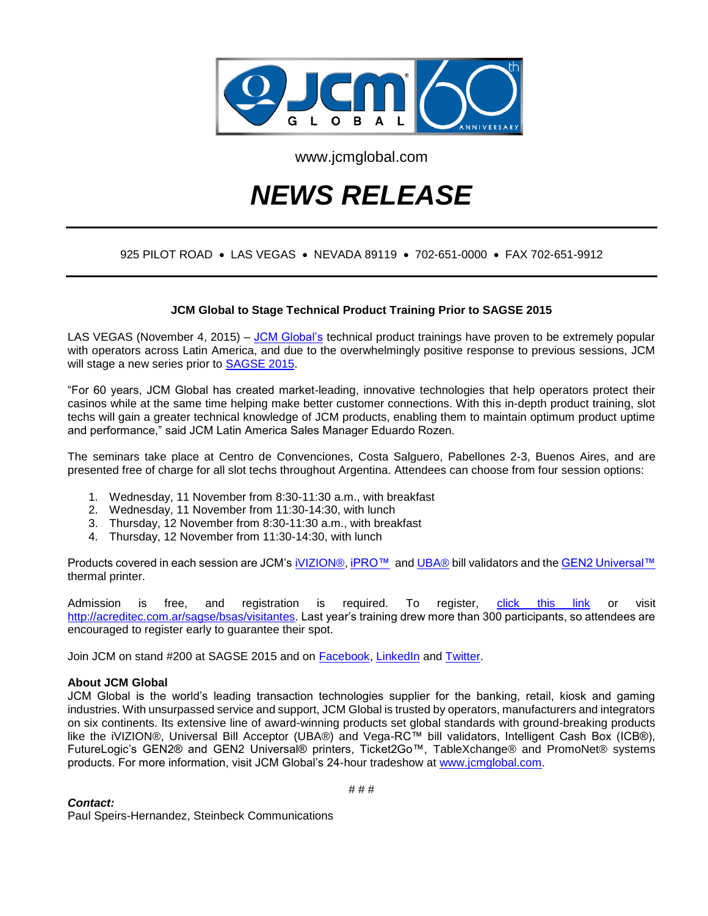

www.jcmglobal.com

# *NEWS RELEASE*

## 925 PILOT ROAD • LAS VEGAS • NEVADA 89119 • 702-651-0000 • FAX 702-651-9912

### **JCM Global to Stage Technical Product Training Prior to SAGSE 2015**

LAS VEGAS (November 4, 2015) – [JCM Global's](http://www.jcmglobal.com/) technical product trainings have proven to be extremely popular with operators across Latin America, and due to the overwhelmingly positive response to previous sessions, JCM will stage a new series prior to [SAGSE 2015.](file:///F:/2015/JCM/Releases/SAGSE%20Training/monografie.com/sagse_bsas/)

"For 60 years, JCM Global has created market-leading, innovative technologies that help operators protect their casinos while at the same time helping make better customer connections. With this in-depth product training, slot techs will gain a greater technical knowledge of JCM products, enabling them to maintain optimum product uptime and performance," said JCM Latin America Sales Manager Eduardo Rozen.

The seminars take place at Centro de Convenciones, Costa Salguero, Pabellones 2-3, Buenos Aires, and are presented free of charge for all slot techs throughout Argentina. Attendees can choose from four session options:

- 1. Wednesday, 11 November from 8:30-11:30 a.m., with breakfast
- 2. Wednesday, 11 November from 11:30-14:30, with lunch
- 3. Thursday, 12 November from 8:30-11:30 a.m., with breakfast
- 4. Thursday, 12 November from 11:30-14:30, with lunch

Products covered in each session are JCM's [iVIZION®,](http://am-en.jcmglobal.com/product/%D1%96vizion/) [iPRO™](http://am-en.jcmglobal.com/product/ipro/) an[d UBA®](http://am-en.jcmglobal.com/product/uba/) bill validators and the [GEN2 Universal™](http://am-en.jcmglobal.com/product/gen2u/) thermal printer.

Admission is free, and registration is required. To register, [click this link](http://acreditec.com.ar/sagse/bsas/visitantes) or visit [http://acreditec.com.ar/sagse/bsas/visitantes.](http://acreditec.com.ar/sagse/bsas/visitantes) Last year's training drew more than 300 participants, so attendees are encouraged to register early to guarantee their spot.

Join JCM on stand #200 at SAGSE 2015 and on [Facebook,](https://www.facebook.com/JCMglobal) [LinkedIn](https://www.linkedin.com/company/2222147?trk=tyah&trkInfo=clickedVertical%3Acompany%2Cidx%3A1-1-1%2CtarId%3A1437512748233%2Ctas%3Ajcm%20global) and [Twitter.](https://twitter.com/JCMGlobal)

### **About JCM Global**

JCM Global is the world's leading transaction technologies supplier for the banking, retail, kiosk and gaming industries. With unsurpassed service and support, JCM Global is trusted by operators, manufacturers and integrators on six continents. Its extensive line of award-winning products set global standards with ground-breaking products like the iVIZION®, Universal Bill Acceptor (UBA®) and Vega-RC™ bill validators, Intelligent Cash Box (ICB®), FutureLogic's GEN2® and GEN2 Universal® printers, Ticket2Go™, TableXchange® and PromoNet® systems products. For more information, visit JCM Global's 24-hour tradeshow at [www.jcmglobal.com.](http://www.jcmglobal.com/)

#### *Contact:*

Paul Speirs-Hernandez, Steinbeck Communications

# # #